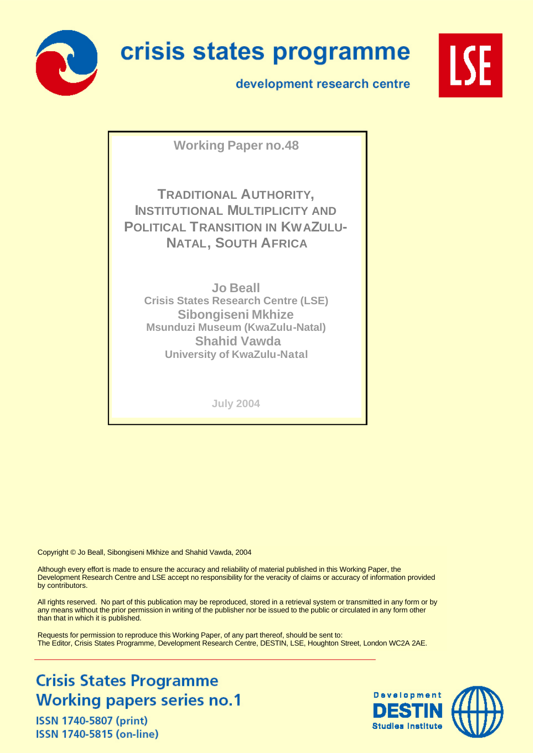

# crisis states programme

development research centre



**Working Paper no.48**

**TRADITIONAL AUTHORITY, INSTITUTIONAL MULTIPLICITY AND POLITICAL TRANSITION IN KWAZULU-NATAL, SOUTH AFRICA**

**Jo Beall Crisis States Research Centre (LSE) Sibongiseni Mkhize Msunduzi Museum (KwaZulu-Natal) Shahid Vawda University of KwaZulu-Natal**

**July 2004**

Copyright © Jo Beall, Sibongiseni Mkhize and Shahid Vawda, 2004

Although every effort is made to ensure the accuracy and reliability of material published in this Working Paper, the Development Research Centre and LSE accept no responsibility for the veracity of claims or accuracy of information provided by contributors.

All rights reserved. No part of this publication may be reproduced, stored in a retrieval system or transmitted in any form or by any means without the prior permission in writing of the publisher nor be issued to the public or circulated in any form other than that in which it is published.

Requests for permission to reproduce this Working Paper, of any part thereof, should be sent to: The Editor, Crisis States Programme, Development Research Centre, DESTIN, LSE, Houghton Street, London WC2A 2AE.

# **Crisis States Programme Working papers series no.1**

ISSN 1740-5807 (print) ISSN 1740-5815 (on-line)

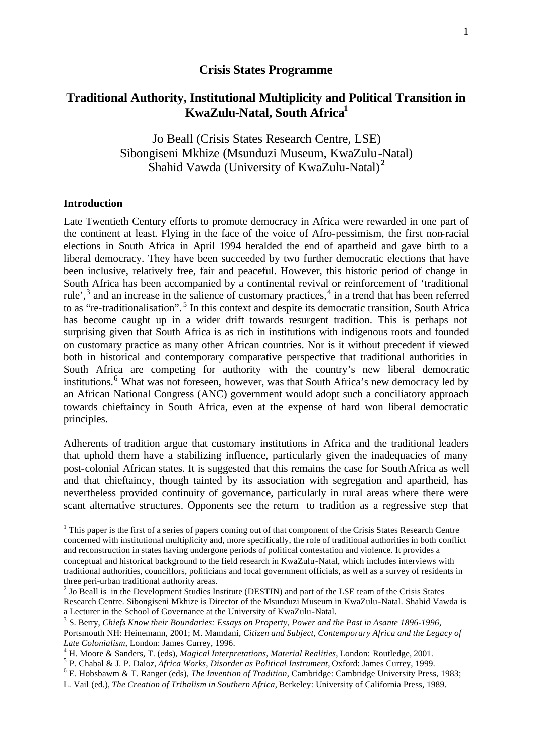#### **Crisis States Programme**

## **Traditional Authority, Institutional Multiplicity and Political Transition in KwaZulu-Natal, South Africa<sup>1</sup>**

Jo Beall (Crisis States Research Centre, LSE) Sibongiseni Mkhize (Msunduzi Museum, KwaZulu-Natal) Shahid Vawda (University of KwaZulu-Natal) **<sup>2</sup>**

#### **Introduction**

l

Late Twentieth Century efforts to promote democracy in Africa were rewarded in one part of the continent at least. Flying in the face of the voice of Afro-pessimism, the first non-racial elections in South Africa in April 1994 heralded the end of apartheid and gave birth to a liberal democracy. They have been succeeded by two further democratic elections that have been inclusive, relatively free, fair and peaceful. However, this historic period of change in South Africa has been accompanied by a continental revival or reinforcement of 'traditional rule',<sup>3</sup> and an increase in the salience of customary practices,<sup>4</sup> in a trend that has been referred to as "re-traditionalisation".<sup>5</sup> In this context and despite its democratic transition, South Africa has become caught up in a wider drift towards resurgent tradition. This is perhaps not surprising given that South Africa is as rich in institutions with indigenous roots and founded on customary practice as many other African countries. Nor is it without precedent if viewed both in historical and contemporary comparative perspective that traditional authorities in South Africa are competing for authority with the country's new liberal democratic institutions.<sup>6</sup> What was not foreseen, however, was that South Africa's new democracy led by an African National Congress (ANC) government would adopt such a conciliatory approach towards chieftaincy in South Africa, even at the expense of hard won liberal democratic principles.

Adherents of tradition argue that customary institutions in Africa and the traditional leaders that uphold them have a stabilizing influence, particularly given the inadequacies of many post-colonial African states. It is suggested that this remains the case for South Africa as well and that chieftaincy, though tainted by its association with segregation and apartheid, has nevertheless provided continuity of governance, particularly in rural areas where there were scant alternative structures. Opponents see the return to tradition as a regressive step that

6 E. Hobsbawm & T. Ranger (eds), *The Invention of Tradition*, Cambridge: Cambridge University Press, 1983;

 $<sup>1</sup>$  This paper is the first of a series of papers coming out of that component of the Crisis States Research Centre</sup> concerned with institutional multiplicity and, more specifically, the role of traditional authorities in both conflict and reconstruction in states having undergone periods of political contestation and violence. It provides a conceptual and historical background to the field research in KwaZulu-Natal, which includes interviews with traditional authorities, councillors, politicians and local government officials, as well as a survey of residents in three peri-urban traditional authority areas.

 $2$  Jo Beall is in the Development Studies Institute (DESTIN) and part of the LSE team of the Crisis States Research Centre. Sibongiseni Mkhize is Director of the Msunduzi Museum in KwaZulu-Natal. Shahid Vawda is a Lecturer in the School of Governance at the University of KwaZulu-Natal.

<sup>3</sup> S. Berry, *Chiefs Know their Boundaries: Essays on Property, Power and the Past in Asante 1896-1996*, Portsmouth NH: Heinemann, 2001; M. Mamdani, *Citizen and Subject, Contemporary Africa and the Legacy of Late Colonialism*, London: James Currey, 1996.

<sup>4</sup> H. Moore & Sanders, T. (eds), *Magical Interpretations, Material Realities*, London: Routledge, 2001.

<sup>5</sup> P. Chabal & J. P. Daloz, *Africa Works, Disorder as Political Instrument*, Oxford: James Currey, 1999.

L. Vail (ed.), *The Creation of Tribalism in Southern Africa*, Berkeley: University of California Press, 1989.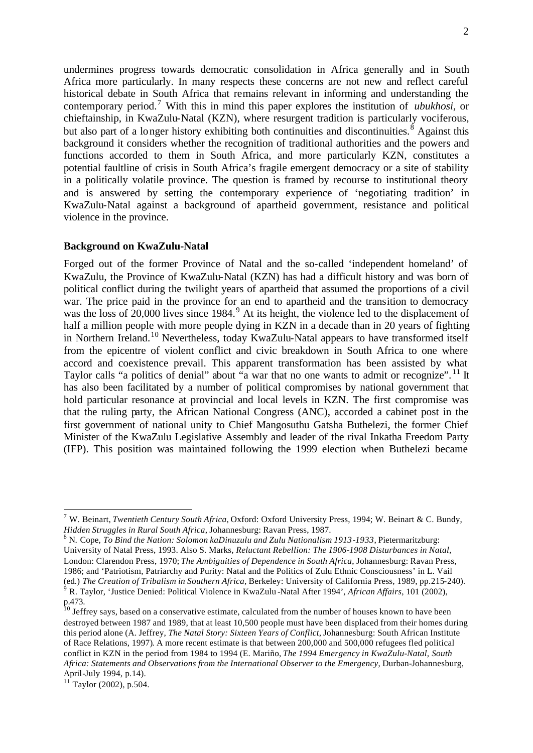undermines progress towards democratic consolidation in Africa generally and in South Africa more particularly. In many respects these concerns are not new and reflect careful historical debate in South Africa that remains relevant in informing and understanding the contemporary period.<sup>7</sup> With this in mind this paper explores the institution of *ubukhosi,* or chieftainship, in KwaZulu-Natal (KZN), where resurgent tradition is particularly vociferous, but also part of a longer history exhibiting both continuities and discontinuities.<sup>8</sup> Against this background it considers whether the recognition of traditional authorities and the powers and functions accorded to them in South Africa, and more particularly KZN, constitutes a potential faultline of crisis in South Africa's fragile emergent democracy or a site of stability in a politically volatile province. The question is framed by recourse to institutional theory and is answered by setting the contemporary experience of 'negotiating tradition' in KwaZulu-Natal against a background of apartheid government, resistance and political violence in the province.

#### **Background on KwaZulu-Natal**

Forged out of the former Province of Natal and the so-called 'independent homeland' of KwaZulu, the Province of KwaZulu-Natal (KZN) has had a difficult history and was born of political conflict during the twilight years of apartheid that assumed the proportions of a civil war. The price paid in the province for an end to apartheid and the transition to democracy was the loss of  $20,000$  lives since 1984.<sup>9</sup> At its height, the violence led to the displacement of half a million people with more people dying in KZN in a decade than in 20 years of fighting in Northern Ireland.<sup>10</sup> Nevertheless, today KwaZulu-Natal appears to have transformed itself from the epicentre of violent conflict and civic breakdown in South Africa to one where accord and coexistence prevail. This apparent transformation has been assisted by what Taylor calls "a politics of denial" about "a war that no one wants to admit or recognize". <sup>11</sup> It has also been facilitated by a number of political compromises by national government that hold particular resonance at provincial and local levels in KZN. The first compromise was that the ruling party, the African National Congress (ANC), accorded a cabinet post in the first government of national unity to Chief Mangosuthu Gatsha Buthelezi, the former Chief Minister of the KwaZulu Legislative Assembly and leader of the rival Inkatha Freedom Party (IFP). This position was maintained following the 1999 election when Buthelezi became

<sup>7</sup> W. Beinart, *Twentieth Century South Africa*, Oxford: Oxford University Press, 1994; W. Beinart & C. Bundy, *Hidden Struggles in Rural South Africa*, Johannesburg: Ravan Press, 1987.

<sup>8</sup> N. Cope, *To Bind the Nation: Solomon kaDinuzulu and Zulu Nationalism 1913-1933*, Pietermaritzburg: University of Natal Press, 1993. Also S. Marks, *Reluctant Rebellion: The 1906-1908 Disturbances in Natal*, London: Clarendon Press, 1970; *The Ambiguities of Dependence in South Africa*, Johannesburg: Ravan Press, 1986; and 'Patriotism, Patriarchy and Purity: Natal and the Politics of Zulu Ethnic Consciousness' in L. Vail (ed.) *The Creation of Tribalism in Southern Africa,* Berkeley: University of California Press, 1989, pp.215-240). 9 R. Taylor, 'Justice Denied: Political Violence in KwaZulu -Natal After 1994', *African Affairs*, 101 (2002),

p.473.

 $10$  Jeffrey says, based on a conservative estimate, calculated from the number of houses known to have been destroyed between 1987 and 1989, that at least 10,500 people must have been displaced from their homes during this period alone (A. Jeffrey, *The Natal Story: Sixteen Years of Conflict*, Johannesburg: South African Institute of Race Relations, 1997). A more recent estimate is that between 200,000 and 500,000 refugees fled political conflict in KZN in the period from 1984 to 1994 (E. Mariño, *The 1994 Emergency in KwaZulu-Natal, South Africa: Statements and Observations from the International Observer to the Emergency*, Durban-Johannesburg, April-July 1994, p.14).

 $11$  Taylor (2002), p.504.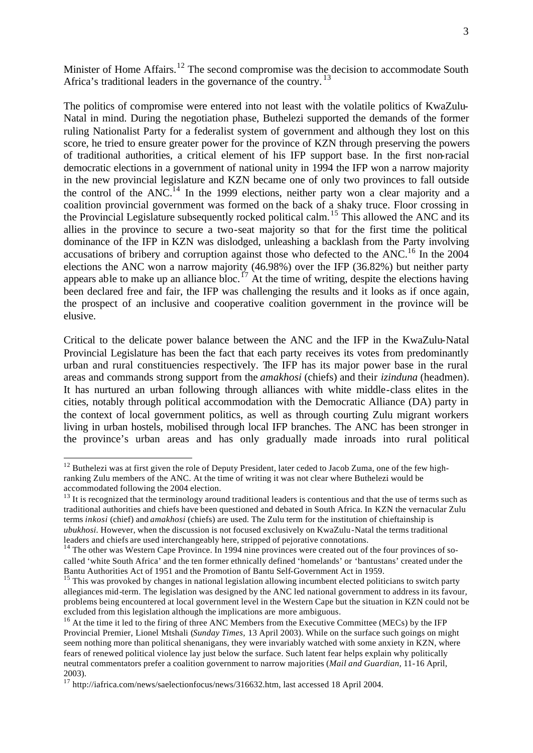Minister of Home Affairs.<sup>12</sup> The second compromise was the decision to accommodate South Africa's traditional leaders in the governance of the country.<sup>13</sup>

The politics of compromise were entered into not least with the volatile politics of KwaZulu-Natal in mind. During the negotiation phase, Buthelezi supported the demands of the former ruling Nationalist Party for a federalist system of government and although they lost on this score, he tried to ensure greater power for the province of KZN through preserving the powers of traditional authorities, a critical element of his IFP support base. In the first non-racial democratic elections in a government of national unity in 1994 the IFP won a narrow majority in the new provincial legislature and KZN became one of only two provinces to fall outside the control of the ANC.<sup>14</sup> In the 1999 elections, neither party won a clear majority and a coalition provincial government was formed on the back of a shaky truce. Floor crossing in the Provincial Legislature subsequently rocked political calm.<sup>15</sup> This allowed the ANC and its allies in the province to secure a two-seat majority so that for the first time the political dominance of the IFP in KZN was dislodged, unleashing a backlash from the Party involving accusations of bribery and corruption against those who defected to the ANC.<sup>16</sup> In the 2004 elections the ANC won a narrow majority (46.98%) over the IFP (36.82%) but neither party appears able to make up an alliance bloc.<sup>17</sup> At the time of writing, despite the elections having been declared free and fair, the IFP was challenging the results and it looks as if once again, the prospect of an inclusive and cooperative coalition government in the province will be elusive.

Critical to the delicate power balance between the ANC and the IFP in the KwaZulu-Natal Provincial Legislature has been the fact that each party receives its votes from predominantly urban and rural constituencies respectively. The IFP has its major power base in the rural areas and commands strong support from the *amakhosi* (chiefs) and their *izinduna* (headmen). It has nurtured an urban following through alliances with white middle-class elites in the cities, notably through political accommodation with the Democratic Alliance (DA) party in the context of local government politics, as well as through courting Zulu migrant workers living in urban hostels, mobilised through local IFP branches. The ANC has been stronger in the province's urban areas and has only gradually made inroads into rural political

 $12$  Buthelezi was at first given the role of Deputy President, later ceded to Jacob Zuma, one of the few highranking Zulu members of the ANC. At the time of writing it was not clear where Buthelezi would be accommodated following the 2004 election.

<sup>&</sup>lt;sup>13</sup> It is recognized that the terminology around traditional leaders is contentious and that the use of terms such as traditional authorities and chiefs have been questioned and debated in South Africa. In KZN the vernacular Zulu terms *inkosi* (chief) and *amakhosi* (chiefs) are used. The Zulu term for the institution of chieftainship is *ubukhosi.* However, when the discussion is not focused exclusively on KwaZulu-Natal the terms traditional leaders and chiefs are used interchangeably here, stripped of pejorative connotations.

<sup>&</sup>lt;sup>14</sup> The other was Western Cape Province. In 1994 nine provinces were created out of the four provinces of socalled 'white South Africa' and the ten former ethnically defined 'homelands' or 'bantustans' created under the Bantu Authorities Act of 1951 and the Promotion of Bantu Self-Government Act in 1959.

<sup>&</sup>lt;sup>15</sup> This was provoked by changes in national legislation allowing incumbent elected politicians to switch party allegiances mid-term. The legislation was designed by the ANC led national government to address in its favour, problems being encountered at local government level in the Western Cape but the situation in KZN could not be excluded from this legislation although the implications are more ambiguous.

<sup>&</sup>lt;sup>16</sup> At the time it led to the firing of three ANC Members from the Executive Committee (MECs) by the IFP Provincial Premier, Lionel Mtshali (*Sunday Times,* 13 April 2003). While on the surface such goings on might seem nothing more than political shenanigans, they were invariably watched with some anxiety in KZN, where fears of renewed political violence lay just below the surface. Such latent fear helps explain why politically neutral commentators prefer a coalition government to narrow majorities (*Mail and Guardian,* 11-16 April, 2003).

<sup>17</sup> http://iafrica.com/news/saelectionfocus/news/316632.htm, last accessed 18 April 2004.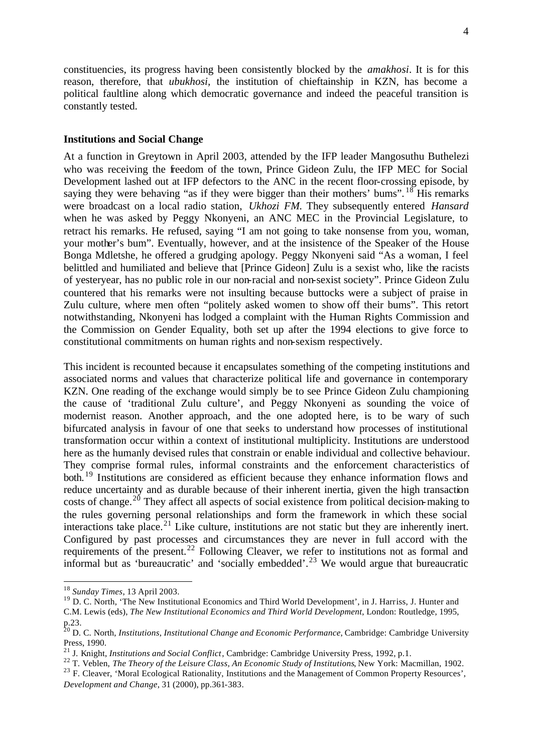constituencies, its progress having been consistently blocked by the *amakhosi*. It is for this reason, therefore, that *ubukhosi,* the institution of chieftainship in KZN, has become a political faultline along which democratic governance and indeed the peaceful transition is constantly tested.

#### **Institutions and Social Change**

At a function in Greytown in April 2003, attended by the IFP leader Mangosuthu Buthelezi who was receiving the freedom of the town, Prince Gideon Zulu, the IFP MEC for Social Development lashed out at IFP defectors to the ANC in the recent floor-crossing episode, by saying they were behaving "as if they were bigger than their mothers' bums".  $^{18}$  His remarks were broadcast on a local radio station, *Ukhozi FM.* They subsequently entered *Hansard* when he was asked by Peggy Nkonyeni, an ANC MEC in the Provincial Legislature, to retract his remarks. He refused, saying "I am not going to take nonsense from you, woman, your mother's bum". Eventually, however, and at the insistence of the Speaker of the House Bonga Mdletshe, he offered a grudging apology. Peggy Nkonyeni said "As a woman, I feel belittled and humiliated and believe that [Prince Gideon] Zulu is a sexist who, like the racists of yesteryear, has no public role in our non-racial and non-sexist society". Prince Gideon Zulu countered that his remarks were not insulting because buttocks were a subject of praise in Zulu culture, where men often "politely asked women to show off their bums". This retort notwithstanding, Nkonyeni has lodged a complaint with the Human Rights Commission and the Commission on Gender Equality, both set up after the 1994 elections to give force to constitutional commitments on human rights and non-sexism respectively.

This incident is recounted because it encapsulates something of the competing institutions and associated norms and values that characterize political life and governance in contemporary KZN. One reading of the exchange would simply be to see Prince Gideon Zulu championing the cause of 'traditional Zulu culture', and Peggy Nkonyeni as sounding the voice of modernist reason. Another approach, and the one adopted here, is to be wary of such bifurcated analysis in favour of one that seeks to understand how processes of institutional transformation occur within a context of institutional multiplicity. Institutions are understood here as the humanly devised rules that constrain or enable individual and collective behaviour. They comprise formal rules, informal constraints and the enforcement characteristics of both.<sup>19</sup> Institutions are considered as efficient because they enhance information flows and reduce uncertainty and as durable because of their inherent inertia, given the high transaction costs of change.<sup>20</sup> They affect all aspects of social existence from political decision-making to the rules governing personal relationships and form the framework in which these social interactions take place.<sup>21</sup> Like culture, institutions are not static but they are inherently inert. Configured by past processes and circumstances they are never in full accord with the requirements of the present.<sup>22</sup> Following Cleaver, we refer to institutions not as formal and informal but as 'bureaucratic' and 'socially embedded'.<sup>23</sup> We would argue that bureaucratic

<sup>18</sup> *Sunday Times*, 13 April 2003.

<sup>&</sup>lt;sup>19</sup> D. C. North, 'The New Institutional Economics and Third World Development', in J. Harriss, J. Hunter and C.M. Lewis (eds), *The New Institutional Economics and Third World Development*, London: Routledge, 1995, p.23.

<sup>20</sup> D. C. North, *Institutions, Institutional Change and Economic Performance*, Cambridge: Cambridge University Press, 1990.

<sup>21</sup> J. Knight, *Institutions and Social Conflict*, Cambridge: Cambridge University Press, 1992, p.1.

<sup>&</sup>lt;sup>22</sup> T. Veblen, *The Theory of the Leisure Class, An Economic Study of Institutions*, New York: Macmillan, 1902.

<sup>&</sup>lt;sup>23</sup> F. Cleaver, 'Moral Ecological Rationality, Institutions and the Management of Common Property Resources', *Development and Change*, 31 (2000), pp.361-383.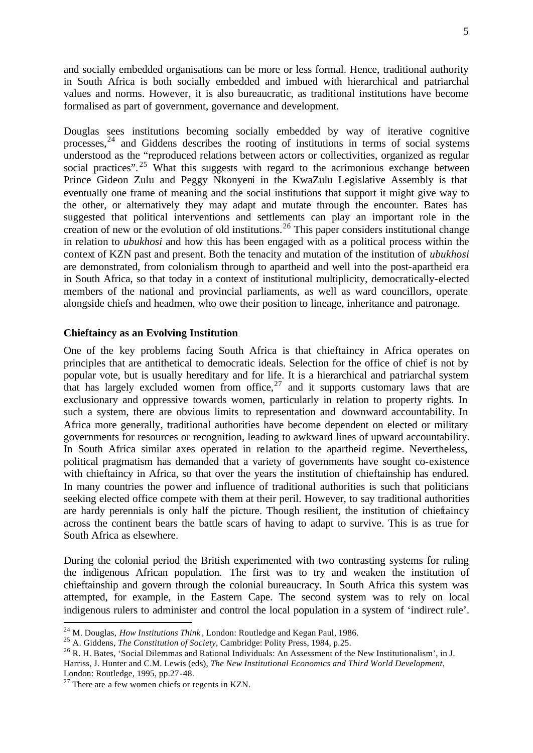and socially embedded organisations can be more or less formal. Hence, traditional authority in South Africa is both socially embedded and imbued with hierarchical and patriarchal values and norms. However, it is also bureaucratic, as traditional institutions have become formalised as part of government, governance and development.

Douglas sees institutions becoming socially embedded by way of iterative cognitive processes,  $24$  and Giddens describes the rooting of institutions in terms of social systems understood as the "reproduced relations between actors or collectivities, organized as regular social practices".<sup>25</sup> What this suggests with regard to the acrimonious exchange between Prince Gideon Zulu and Peggy Nkonyeni in the KwaZulu Legislative Assembly is that eventually one frame of meaning and the social institutions that support it might give way to the other, or alternatively they may adapt and mutate through the encounter. Bates has suggested that political interventions and settlements can play an important role in the creation of new or the evolution of old institutions.<sup>26</sup> This paper considers institutional change in relation to *ubukhosi* and how this has been engaged with as a political process within the context of KZN past and present. Both the tenacity and mutation of the institution of *ubukhosi*  are demonstrated, from colonialism through to apartheid and well into the post-apartheid era in South Africa, so that today in a context of institutional multiplicity, democratically-elected members of the national and provincial parliaments, as well as ward councillors, operate alongside chiefs and headmen, who owe their position to lineage, inheritance and patronage.

#### **Chieftaincy as an Evolving Institution**

One of the key problems facing South Africa is that chieftaincy in Africa operates on principles that are antithetical to democratic ideals. Selection for the office of chief is not by popular vote, but is usually hereditary and for life. It is a hierarchical and patriarchal system that has largely excluded women from office, $27$  and it supports customary laws that are exclusionary and oppressive towards women, particularly in relation to property rights. In such a system, there are obvious limits to representation and downward accountability. In Africa more generally, traditional authorities have become dependent on elected or military governments for resources or recognition, leading to awkward lines of upward accountability. In South Africa similar axes operated in relation to the apartheid regime. Nevertheless, political pragmatism has demanded that a variety of governments have sought co-existence with chieftaincy in Africa, so that over the years the institution of chieftainship has endured. In many countries the power and influence of traditional authorities is such that politicians seeking elected office compete with them at their peril. However, to say traditional authorities are hardy perennials is only half the picture. Though resilient, the institution of chieftaincy across the continent bears the battle scars of having to adapt to survive. This is as true for South Africa as elsewhere.

During the colonial period the British experimented with two contrasting systems for ruling the indigenous African population. The first was to try and weaken the institution of chieftainship and govern through the colonial bureaucracy. In South Africa this system was attempted, for example, in the Eastern Cape. The second system was to rely on local indigenous rulers to administer and control the local population in a system of 'indirect rule'.

<sup>24</sup> M. Douglas, *How Institutions Think* , London: Routledge and Kegan Paul, 1986.

<sup>25</sup> A. Giddens, *The Constitution of Society*, Cambridge: Polity Press, 1984, p.25.

<sup>&</sup>lt;sup>26</sup> R. H. Bates, 'Social Dilemmas and Rational Individuals: An Assessment of the New Institutionalism', in J. Harriss, J. Hunter and C.M. Lewis (eds), *The New Institutional Economics and Third World Development*, London: Routledge, 1995, pp.27-48.

 $27$  There are a few women chiefs or regents in KZN.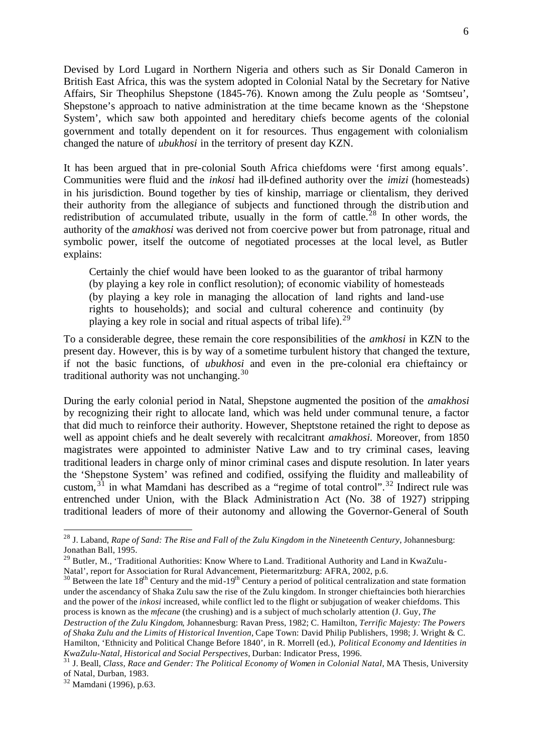Devised by Lord Lugard in Northern Nigeria and others such as Sir Donald Cameron in British East Africa, this was the system adopted in Colonial Natal by the Secretary for Native Affairs, Sir Theophilus Shepstone (1845-76). Known among the Zulu people as 'Somtseu', Shepstone's approach to native administration at the time became known as the 'Shepstone System', which saw both appointed and hereditary chiefs become agents of the colonial government and totally dependent on it for resources. Thus engagement with colonialism changed the nature of *ubukhosi* in the territory of present day KZN.

It has been argued that in pre-colonial South Africa chiefdoms were 'first among equals'. Communities were fluid and the *inkosi* had ill-defined authority over the *imizi* (homesteads) in his jurisdiction. Bound together by ties of kinship, marriage or clientalism, they derived their authority from the allegiance of subjects and functioned through the distribution and redistribution of accumulated tribute, usually in the form of cattle.<sup>28</sup> In other words, the authority of the *amakhosi* was derived not from coercive power but from patronage, ritual and symbolic power, itself the outcome of negotiated processes at the local level, as Butler explains:

Certainly the chief would have been looked to as the guarantor of tribal harmony (by playing a key role in conflict resolution); of economic viability of homesteads (by playing a key role in managing the allocation of land rights and land-use rights to households); and social and cultural coherence and continuity (by playing a key role in social and ritual aspects of tribal life).<sup>29</sup>

To a considerable degree, these remain the core responsibilities of the *amkhosi* in KZN to the present day. However, this is by way of a sometime turbulent history that changed the texture, if not the basic functions, of *ubukhosi* and even in the pre-colonial era chieftaincy or traditional authority was not unchanging.<sup>30</sup>

During the early colonial period in Natal, Shepstone augmented the position of the *amakhosi* by recognizing their right to allocate land, which was held under communal tenure, a factor that did much to reinforce their authority. However, Sheptstone retained the right to depose as well as appoint chiefs and he dealt severely with recalcitrant *amakhosi.* Moreover, from 1850 magistrates were appointed to administer Native Law and to try criminal cases, leaving traditional leaders in charge only of minor criminal cases and dispute resolution. In later years the 'Shepstone System' was refined and codified, ossifying the fluidity and malleability of custom,  $3\overline{1}$  in what Mamdani has described as a "regime of total control".  $3\overline{2}$  Indirect rule was entrenched under Union, with the Black Administration Act (No. 38 of 1927) stripping traditional leaders of more of their autonomy and allowing the Governor-General of South

<sup>28</sup> J. Laband, *Rape of Sand: The Rise and Fall of the Zulu Kingdom in the Nineteenth Century*, Johannesburg: Jonathan Ball, 1995.

<sup>&</sup>lt;sup>29</sup> Butler, M., 'Traditional Authorities: Know Where to Land. Traditional Authority and Land in KwaZulu-Natal', report for Association for Rural Advancement, Pietermaritzburg: AFRA, 2002, p.6.

 $30$  Between the late 18<sup>th</sup> Century and the mid-19<sup>th</sup> Century a period of political centralization and state formation under the ascendancy of Shaka Zulu saw the rise of the Zulu kingdom. In stronger chieftaincies both hierarchies and the power of the *inkosi* increased, while conflict led to the flight or subjugation of weaker chiefdoms. This process is known as the *mfecane* (the crushing) and is a subject of much scholarly attention (J. Guy, *The* 

*Destruction of the Zulu Kingdom*, Johannesburg: Ravan Press, 1982; C. Hamilton, *Terrific Majesty: The Powers of Shaka Zulu and the Limits of Historical Invention*, Cape Town: David Philip Publishers, 1998; J. Wright & C. Hamilton, 'Ethnicity and Political Change Before 1840', in R. Morrell (ed.), *Political Economy and Identities in KwaZulu-Natal, Historical and Social Perspectives*, Durban: Indicator Press, 1996.

<sup>31</sup> J. Beall, *Class, Race and Gender: The Political Economy of Women in Colonial Natal*, MA Thesis, University of Natal, Durban, 1983.

<sup>32</sup> Mamdani (1996), p.63.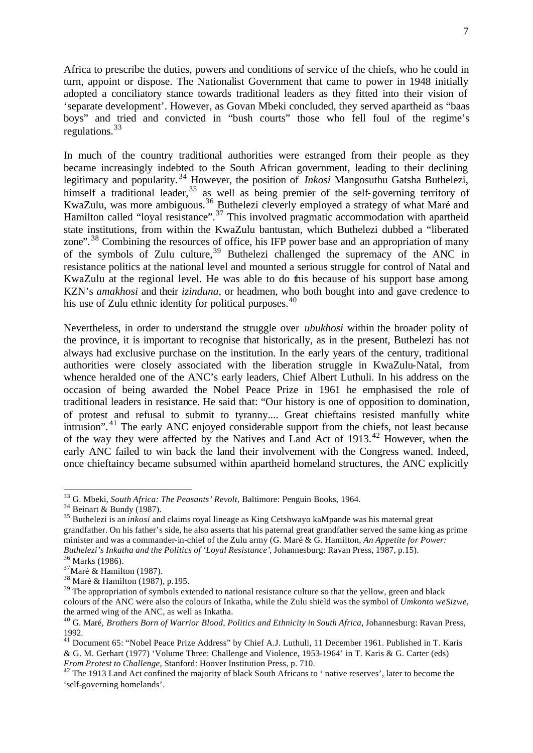Africa to prescribe the duties, powers and conditions of service of the chiefs, who he could in turn, appoint or dispose. The Nationalist Government that came to power in 1948 initially adopted a conciliatory stance towards traditional leaders as they fitted into their vision of 'separate development'. However, as Govan Mbeki concluded, they served apartheid as "baas boys" and tried and convicted in "bush courts" those who fell foul of the regime's regulations.  $33$ 

In much of the country traditional authorities were estranged from their people as they became increasingly indebted to the South African government, leading to their declining legitimacy and popularity. <sup>34</sup> However, the position of *Inkosi* Mangosuthu Gatsha Buthelezi, himself a traditional leader,  $35$  as well as being premier of the self-governing territory of KwaZulu, was more ambiguous.<sup>36</sup> Buthelezi cleverly employed a strategy of what Maré and Hamilton called "loyal resistance".<sup>37</sup> This involved pragmatic accommodation with apartheid state institutions, from within the KwaZulu bantustan, which Buthelezi dubbed a "liberated zone".<sup>38</sup> Combining the resources of office, his IFP power base and an appropriation of many of the symbols of Zulu culture,  $39$  Buthelezi challenged the supremacy of the ANC in resistance politics at the national level and mounted a serious struggle for control of Natal and KwaZulu at the regional level. He was able to do this because of his support base among KZN's *amakhosi* and their *izinduna,* or headmen, who both bought into and gave credence to his use of Zulu ethnic identity for political purposes.  $40$ 

Nevertheless, in order to understand the struggle over *ubukhosi* within the broader polity of the province, it is important to recognise that historically, as in the present, Buthelezi has not always had exclusive purchase on the institution. In the early years of the century, traditional authorities were closely associated with the liberation struggle in KwaZulu-Natal, from whence heralded one of the ANC's early leaders, Chief Albert Luthuli. In his address on the occasion of being awarded the Nobel Peace Prize in 1961 he emphasised the role of traditional leaders in resistance. He said that: "Our history is one of opposition to domination, of protest and refusal to submit to tyranny.... Great chieftains resisted manfully white intrusion". <sup>41</sup> The early ANC enjoyed considerable support from the chiefs, not least because of the way they were affected by the Natives and Land Act of  $1913<sup>42</sup>$  However, when the early ANC failed to win back the land their involvement with the Congress waned. Indeed, once chieftaincy became subsumed within apartheid homeland structures, the ANC explicitly

<sup>33</sup> G. Mbeki, *South Africa: The Peasants' Revolt*, Baltimore: Penguin Books, 1964.

<sup>34</sup> Beinart & Bundy (1987).

<sup>35</sup> Buthelezi is an *inkosi* and claims royal lineage as King Cetshwayo kaMpande was his maternal great grandfather. On his father's side, he also asserts that his paternal great grandfather served the same king as prime minister and was a commander-in-chief of the Zulu army (G. Maré & G. Hamilton, *An Appetite for Power: Buthelezi's Inkatha and the Politics of 'Loyal Resistance'*, Johannesburg: Ravan Press, 1987, p.15).

<sup>36</sup> Marks (1986).

 $37$ Maré & Hamilton (1987).

<sup>38</sup> Maré & Hamilton (1987), p.195.

<sup>&</sup>lt;sup>39</sup> The appropriation of symbols extended to national resistance culture so that the yellow, green and black colours of the ANC were also the colours of Inkatha, while the Zulu shield was the symbol of *Umkonto weSizwe*, the armed wing of the ANC, as well as Inkatha.

<sup>40</sup> G. Maré, *Brothers Born of Warrior Blood, Politics and Ethnicity in South Africa*, Johannesburg: Ravan Press, 1992.

<sup>&</sup>lt;sup>41</sup> Document 65: "Nobel Peace Prize Address" by Chief A.J. Luthuli, 11 December 1961. Published in T. Karis & G. M. Gerhart (1977) 'Volume Three: Challenge and Violence, 1953-1964' in T. Karis & G. Carter (eds) *From Protest to Challenge,* Stanford: Hoover Institution Press, p. 710.

<sup>&</sup>lt;sup>42</sup> The 1913 Land Act confined the majority of black South Africans to ' native reserves', later to become the 'self-governing homelands'.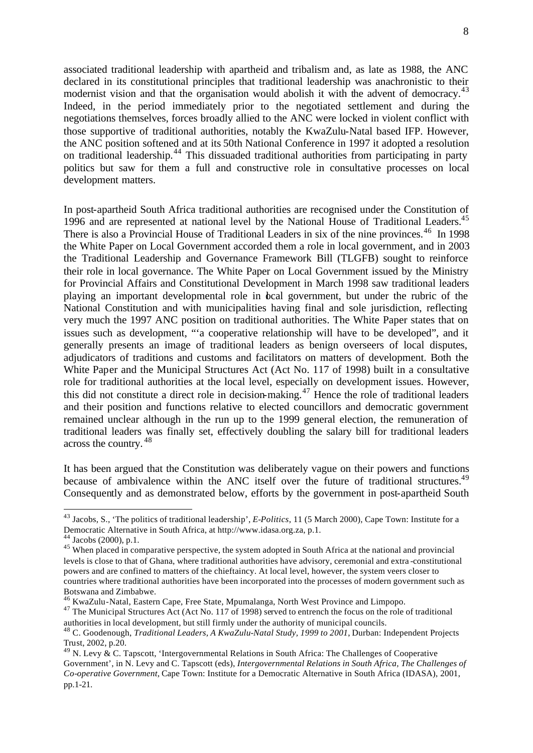associated traditional leadership with apartheid and tribalism and, as late as 1988, the ANC declared in its constitutional principles that traditional leadership was anachronistic to their modernist vision and that the organisation would abolish it with the advent of democracy.<sup>43</sup> Indeed, in the period immediately prior to the negotiated settlement and during the negotiations themselves, forces broadly allied to the ANC were locked in violent conflict with those supportive of traditional authorities, notably the KwaZulu-Natal based IFP. However, the ANC position softened and at its 50th National Conference in 1997 it adopted a resolution on traditional leadership.<sup>44</sup> This dissuaded traditional authorities from participating in party politics but saw for them a full and constructive role in consultative processes on local development matters.

In post-apartheid South Africa traditional authorities are recognised under the Constitution of 1996 and are represented at national level by the National House of Traditional Leaders.<sup>45</sup> There is also a Provincial House of Traditional Leaders in six of the nine provinces.<sup>46</sup> In 1998 the White Paper on Local Government accorded them a role in local government, and in 2003 the Traditional Leadership and Governance Framework Bill (TLGFB) sought to reinforce their role in local governance. The White Paper on Local Government issued by the Ministry for Provincial Affairs and Constitutional Development in March 1998 saw traditional leaders playing an important developmental role in local government, but under the rubric of the National Constitution and with municipalities having final and sole jurisdiction, reflecting very much the 1997 ANC position on traditional authorities. The White Paper states that on issues such as development, "'a cooperative relationship will have to be developed", and it generally presents an image of traditional leaders as benign overseers of local disputes, adjudicators of traditions and customs and facilitators on matters of development. Both the White Paper and the Municipal Structures Act (Act No. 117 of 1998) built in a consultative role for traditional authorities at the local level, especially on development issues. However, this did not constitute a direct role in decision-making.<sup>47</sup> Hence the role of traditional leaders and their position and functions relative to elected councillors and democratic government remained unclear although in the run up to the 1999 general election, the remuneration of traditional leaders was finally set, effectively doubling the salary bill for traditional leaders across the country. <sup>48</sup>

It has been argued that the Constitution was deliberately vague on their powers and functions because of ambivalence within the ANC itself over the future of traditional structures.<sup>49</sup> Consequently and as demonstrated below, efforts by the government in post-apartheid South

<sup>43</sup> Jacobs, S., 'The politics of traditional leadership', *E-Politics*, 11 (5 March 2000), Cape Town: Institute for a Democratic Alternative in South Africa, at http://www.idasa.org.za, p.1.

 $44$  Jacobs (2000), p.1.

<sup>&</sup>lt;sup>45</sup> When placed in comparative perspective, the system adopted in South Africa at the national and provincial levels is close to that of Ghana, where traditional authorities have advisory, ceremonial and extra -constitutional powers and are confined to matters of the chieftaincy. At local level, however, the system veers closer to countries where traditional authorities have been incorporated into the processes of modern government such as Botswana and Zimbabwe.

<sup>46</sup> KwaZulu-Natal, Eastern Cape, Free State, Mpumalanga, North West Province and Limpopo.

<sup>&</sup>lt;sup>47</sup> The Municipal Structures Act (Act No. 117 of 1998) served to entrench the focus on the role of traditional authorities in local development, but still firmly under the authority of municipal councils.

<sup>48</sup> C. Goodenough, *Traditional Leaders, A KwaZulu-Natal Study, 1999 to 2001*, Durban: Independent Projects Trust, 2002, p.20.

 $^{49}$  N. Levy & C. Tapscott, 'Intergovernmental Relations in South Africa: The Challenges of Cooperative Government', in N. Levy and C. Tapscott (eds), *Intergovernmental Relations in South Africa, The Challenges of Co-operative Government*, Cape Town: Institute for a Democratic Alternative in South Africa (IDASA), 2001, pp.1-21.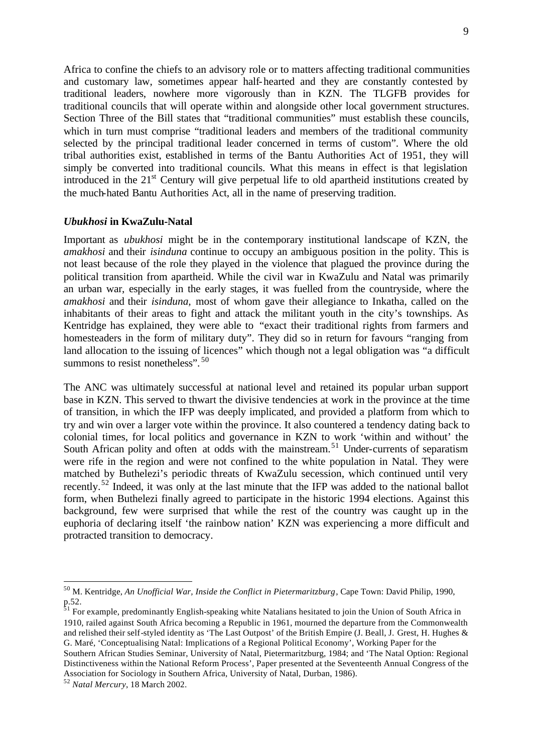Africa to confine the chiefs to an advisory role or to matters affecting traditional communities and customary law, sometimes appear half-hearted and they are constantly contested by traditional leaders, nowhere more vigorously than in KZN. The TLGFB provides for traditional councils that will operate within and alongside other local government structures. Section Three of the Bill states that "traditional communities" must establish these councils, which in turn must comprise "traditional leaders and members of the traditional community selected by the principal traditional leader concerned in terms of custom". Where the old tribal authorities exist, established in terms of the Bantu Authorities Act of 1951, they will simply be converted into traditional councils. What this means in effect is that legislation introduced in the  $21<sup>st</sup>$  Century will give perpetual life to old apartheid institutions created by the much-hated Bantu Authorities Act, all in the name of preserving tradition.

#### *Ubukhosi* **in KwaZulu-Natal**

Important as *ubukhosi* might be in the contemporary institutional landscape of KZN, the *amakhosi* and their *isinduna* continue to occupy an ambiguous position in the polity. This is not least because of the role they played in the violence that plagued the province during the political transition from apartheid. While the civil war in KwaZulu and Natal was primarily an urban war, especially in the early stages, it was fuelled from the countryside, where the *amakhosi* and their *isinduna,* most of whom gave their allegiance to Inkatha, called on the inhabitants of their areas to fight and attack the militant youth in the city's townships. As Kentridge has explained, they were able to "exact their traditional rights from farmers and homesteaders in the form of military duty". They did so in return for favours "ranging from land allocation to the issuing of licences" which though not a legal obligation was "a difficult summons to resist nonetheless".<sup>50</sup>

The ANC was ultimately successful at national level and retained its popular urban support base in KZN. This served to thwart the divisive tendencies at work in the province at the time of transition, in which the IFP was deeply implicated, and provided a platform from which to try and win over a larger vote within the province. It also countered a tendency dating back to colonial times, for local politics and governance in KZN to work 'within and without' the South African polity and often at odds with the mainstream.<sup>51</sup> Under-currents of separatism were rife in the region and were not confined to the white population in Natal. They were matched by Buthelezi's periodic threats of KwaZulu secession, which continued until very recently.<sup>52</sup> Indeed, it was only at the last minute that the IFP was added to the national ballot form, when Buthelezi finally agreed to participate in the historic 1994 elections. Against this background, few were surprised that while the rest of the country was caught up in the euphoria of declaring itself 'the rainbow nation' KZN was experiencing a more difficult and protracted transition to democracy.

<sup>50</sup> M. Kentridge, *An Unofficial War, Inside the Conflict in Pietermaritzburg*, Cape Town: David Philip, 1990, p.52.

<sup>&</sup>lt;sup>51</sup> For example, predominantly English-speaking white Natalians hesitated to join the Union of South Africa in 1910, railed against South Africa becoming a Republic in 1961, mourned the departure from the Commonwealth and relished their self-styled identity as 'The Last Outpost' of the British Empire (J. Beall, J. Grest, H. Hughes & G. Maré, 'Conceptualising Natal: Implications of a Regional Political Economy', Working Paper for the

Southern African Studies Seminar, University of Natal, Pietermaritzburg, 1984; and 'The Natal Option: Regional Distinctiveness within the National Reform Process', Paper presented at the Seventeenth Annual Congress of the Association for Sociology in Southern Africa, University of Natal, Durban, 1986).

<sup>52</sup> *Natal Mercury*, 18 March 2002.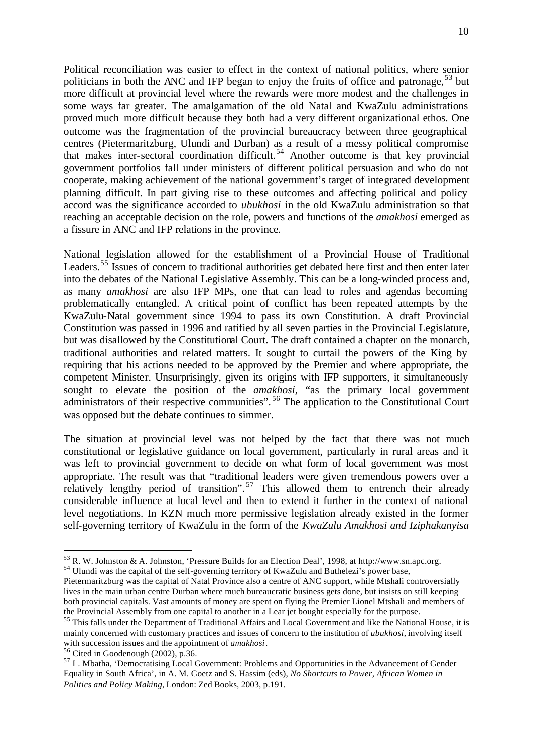Political reconciliation was easier to effect in the context of national politics, where senior politicians in both the ANC and IFP began to enjoy the fruits of office and patronage,  $53$  but more difficult at provincial level where the rewards were more modest and the challenges in some ways far greater. The amalgamation of the old Natal and KwaZulu administrations proved much more difficult because they both had a very different organizational ethos. One outcome was the fragmentation of the provincial bureaucracy between three geographical centres (Pietermaritzburg, Ulundi and Durban) as a result of a messy political compromise that makes inter-sectoral coordination difficult.<sup>54</sup> Another outcome is that key provincial government portfolios fall under ministers of different political persuasion and who do not cooperate, making achievement of the national government's target of integrated development planning difficult. In part giving rise to these outcomes and affecting political and policy accord was the significance accorded to *ubukhosi* in the old KwaZulu administration so that reaching an acceptable decision on the role, powers and functions of the *amakhosi* emerged as a fissure in ANC and IFP relations in the province*.*

National legislation allowed for the establishment of a Provincial House of Traditional Leaders.<sup>55</sup> Issues of concern to traditional authorities get debated here first and then enter later into the debates of the National Legislative Assembly. This can be a long-winded process and, as many *amakhosi* are also IFP MPs, one that can lead to roles and agendas becoming problematically entangled. A critical point of conflict has been repeated attempts by the KwaZulu-Natal government since 1994 to pass its own Constitution. A draft Provincial Constitution was passed in 1996 and ratified by all seven parties in the Provincial Legislature, but was disallowed by the Constitutional Court. The draft contained a chapter on the monarch, traditional authorities and related matters. It sought to curtail the powers of the King by requiring that his actions needed to be approved by the Premier and where appropriate, the competent Minister. Unsurprisingly, given its origins with IFP supporters, it simultaneously sought to elevate the position of the *amakhosi*, "as the primary local government administrators of their respective communities". <sup>56</sup> The application to the Constitutional Court was opposed but the debate continues to simmer.

The situation at provincial level was not helped by the fact that there was not much constitutional or legislative guidance on local government, particularly in rural areas and it was left to provincial government to decide on what form of local government was most appropriate. The result was that "traditional leaders were given tremendous powers over a relatively lengthy period of transition".<sup>57</sup> This allowed them to entrench their already considerable influence at local level and then to extend it further in the context of national level negotiations. In KZN much more permissive legislation already existed in the former self-governing territory of KwaZulu in the form of the *KwaZulu Amakhosi and Iziphakanyisa* 

 $56$  Cited in Goodenough (2002), p.36.

 $53$  R. W. Johnston & A. Johnston, 'Pressure Builds for an Election Deal', 1998, at http://www.sn.apc.org.

<sup>&</sup>lt;sup>54</sup> Ulundi was the capital of the self-governing territory of KwaZulu and Buthelezi's power base,

Pietermaritzburg was the capital of Natal Province also a centre of ANC support, while Mtshali controversially lives in the main urban centre Durban where much bureaucratic business gets done, but insists on still keeping both provincial capitals. Vast amounts of money are spent on flying the Premier Lionel Mtshali and members of the Provincial Assembly from one capital to another in a Lear jet bought especially for the purpose.

<sup>&</sup>lt;sup>55</sup> This falls under the Department of Traditional Affairs and Local Government and like the National House, it is mainly concerned with customary practices and issues of concern to the institution of *ubukhosi,* involving itself with succession issues and the appointment of *amakhosi*.

<sup>&</sup>lt;sup>57</sup> L. Mbatha, 'Democratising Local Government: Problems and Opportunities in the Advancement of Gender Equality in South Africa', in A. M. Goetz and S. Hassim (eds), *No Shortcuts to Power, African Women in Politics and Policy Making*, London: Zed Books, 2003, p.191.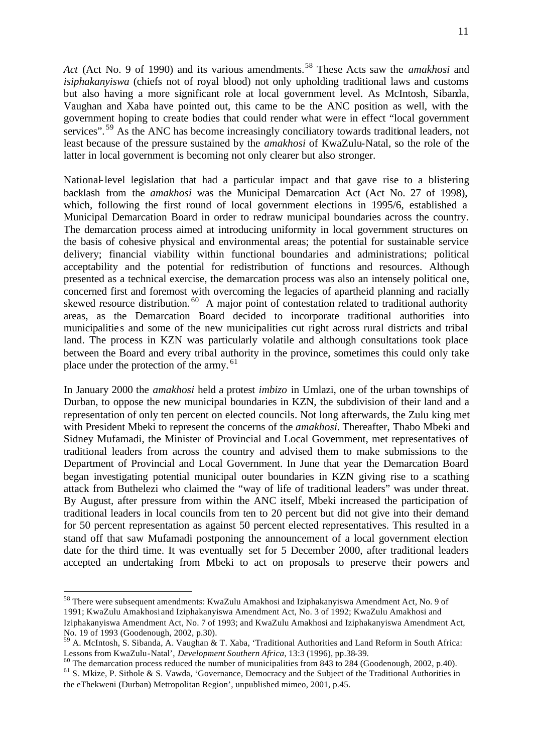Act (Act No. 9 of 1990) and its various amendments.<sup>58</sup> These Acts saw the *amakhosi* and *isiphakanyiswa* (chiefs not of royal blood) not only upholding traditional laws and customs

but also having a more significant role at local government level. As McIntosh, Sibanda, Vaughan and Xaba have pointed out, this came to be the ANC position as well, with the government hoping to create bodies that could render what were in effect "local government services".<sup>59</sup> As the ANC has become increasingly conciliatory towards traditional leaders, not least because of the pressure sustained by the *amakhosi* of KwaZulu-Natal, so the role of the latter in local government is becoming not only clearer but also stronger.

National-level legislation that had a particular impact and that gave rise to a blistering backlash from the *amakhosi* was the Municipal Demarcation Act (Act No. 27 of 1998), which, following the first round of local government elections in 1995/6, established a Municipal Demarcation Board in order to redraw municipal boundaries across the country. The demarcation process aimed at introducing uniformity in local government structures on the basis of cohesive physical and environmental areas; the potential for sustainable service delivery; financial viability within functional boundaries and administrations; political acceptability and the potential for redistribution of functions and resources. Although presented as a technical exercise, the demarcation process was also an intensely political one, concerned first and foremost with overcoming the legacies of apartheid planning and racially skewed resource distribution.<sup>60</sup> A major point of contestation related to traditional authority areas, as the Demarcation Board decided to incorporate traditional authorities into municipalitie s and some of the new municipalities cut right across rural districts and tribal land. The process in KZN was particularly volatile and although consultations took place between the Board and every tribal authority in the province, sometimes this could only take place under the protection of the army.<sup>61</sup>

In January 2000 the *amakhosi* held a protest *imbizo* in Umlazi, one of the urban townships of Durban, to oppose the new municipal boundaries in KZN, the subdivision of their land and a representation of only ten percent on elected councils. Not long afterwards, the Zulu king met with President Mbeki to represent the concerns of the *amakhosi*. Thereafter, Thabo Mbeki and Sidney Mufamadi, the Minister of Provincial and Local Government, met representatives of traditional leaders from across the country and advised them to make submissions to the Department of Provincial and Local Government. In June that year the Demarcation Board began investigating potential municipal outer boundaries in KZN giving rise to a scathing attack from Buthelezi who claimed the "way of life of traditional leaders" was under threat. By August, after pressure from within the ANC itself, Mbeki increased the participation of traditional leaders in local councils from ten to 20 percent but did not give into their demand for 50 percent representation as against 50 percent elected representatives. This resulted in a stand off that saw Mufamadi postponing the announcement of a local government election date for the third time. It was eventually set for 5 December 2000, after traditional leaders accepted an undertaking from Mbeki to act on proposals to preserve their powers and

<sup>58</sup> There were subsequent amendments: KwaZulu Amakhosi and Iziphakanyiswa Amendment Act, No. 9 of 1991; KwaZulu Amakhosi and Iziphakanyiswa Amendment Act, No. 3 of 1992; KwaZulu Amakhosi and Iziphakanyiswa Amendment Act, No. 7 of 1993; and KwaZulu Amakhosi and Iziphakanyiswa Amendment Act, No. 19 of 1993 (Goodenough, 2002, p.30).

<sup>59</sup> A. McIntosh, S. Sibanda, A. Vaughan & T. Xaba, 'Traditional Authorities and Land Reform in South Africa: Lessons from KwaZulu-Natal', *Development Southern Africa*, 13:3 (1996), pp.38-39.

 $60$  The demarcation process reduced the number of municipalities from 843 to 284 (Goodenough, 2002, p.40). <sup>61</sup> S. Mkize, P. Sithole & S. Vawda, 'Governance, Democracy and the Subject of the Traditional Authorities in the eThekweni (Durban) Metropolitan Region', unpublished mimeo, 2001, p.45.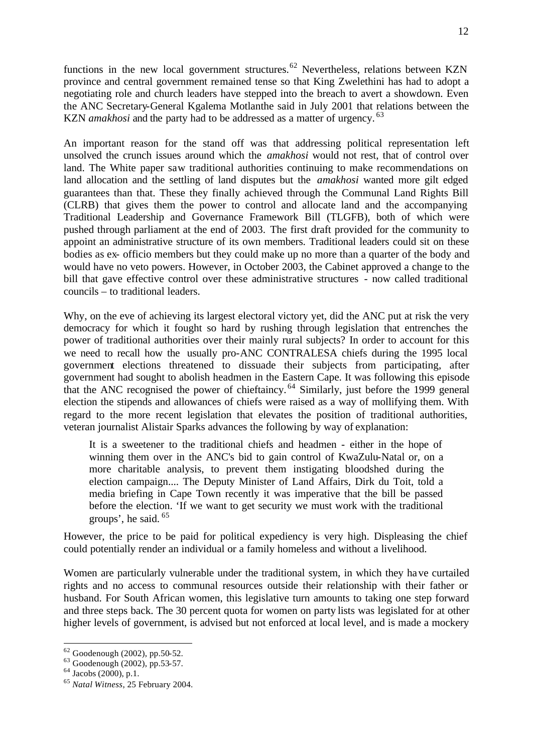functions in the new local government structures.<sup>62</sup> Nevertheless, relations between KZN province and central government remained tense so that King Zwelethini has had to adopt a negotiating role and church leaders have stepped into the breach to avert a showdown. Even the ANC Secretary-General Kgalema Motlanthe said in July 2001 that relations between the KZN *amakhosi* and the party had to be addressed as a matter of urgency.<sup>63</sup>

An important reason for the stand off was that addressing political representation left unsolved the crunch issues around which the *amakhosi* would not rest, that of control over land. The White paper saw traditional authorities continuing to make recommendations on land allocation and the settling of land disputes but the *amakhosi* wanted more gilt edged guarantees than that. These they finally achieved through the Communal Land Rights Bill (CLRB) that gives them the power to control and allocate land and the accompanying Traditional Leadership and Governance Framework Bill (TLGFB), both of which were pushed through parliament at the end of 2003. The first draft provided for the community to appoint an administrative structure of its own members. Traditional leaders could sit on these bodies as ex- officio members but they could make up no more than a quarter of the body and would have no veto powers. However, in October 2003, the Cabinet approved a change to the bill that gave effective control over these administrative structures - now called traditional councils – to traditional leaders.

Why, on the eve of achieving its largest electoral victory yet, did the ANC put at risk the very democracy for which it fought so hard by rushing through legislation that entrenches the power of traditional authorities over their mainly rural subjects? In order to account for this we need to recall how the usually pro-ANC CONTRALESA chiefs during the 1995 local government elections threatened to dissuade their subjects from participating, after government had sought to abolish headmen in the Eastern Cape. It was following this episode that the ANC recognised the power of chieftaincy.<sup>64</sup> Similarly, just before the 1999 general election the stipends and allowances of chiefs were raised as a way of mollifying them. With regard to the more recent legislation that elevates the position of traditional authorities, veteran journalist Alistair Sparks advances the following by way of explanation:

It is a sweetener to the traditional chiefs and headmen - either in the hope of winning them over in the ANC's bid to gain control of KwaZulu-Natal or, on a more charitable analysis, to prevent them instigating bloodshed during the election campaign.... The Deputy Minister of Land Affairs, Dirk du Toit, told a media briefing in Cape Town recently it was imperative that the bill be passed before the election. 'If we want to get security we must work with the traditional groups', he said. <sup>65</sup>

However, the price to be paid for political expediency is very high. Displeasing the chief could potentially render an individual or a family homeless and without a livelihood.

Women are particularly vulnerable under the traditional system, in which they have curtailed rights and no access to communal resources outside their relationship with their father or husband. For South African women, this legislative turn amounts to taking one step forward and three steps back. The 30 percent quota for women on party lists was legislated for at other higher levels of government, is advised but not enforced at local level, and is made a mockery

 $62$  Goodenough (2002), pp.50-52.

<sup>63</sup> Goodenough (2002), pp.53-57.

 $64$  Jacobs (2000), p.1.

<sup>65</sup> *Natal Witness*, 25 February 2004.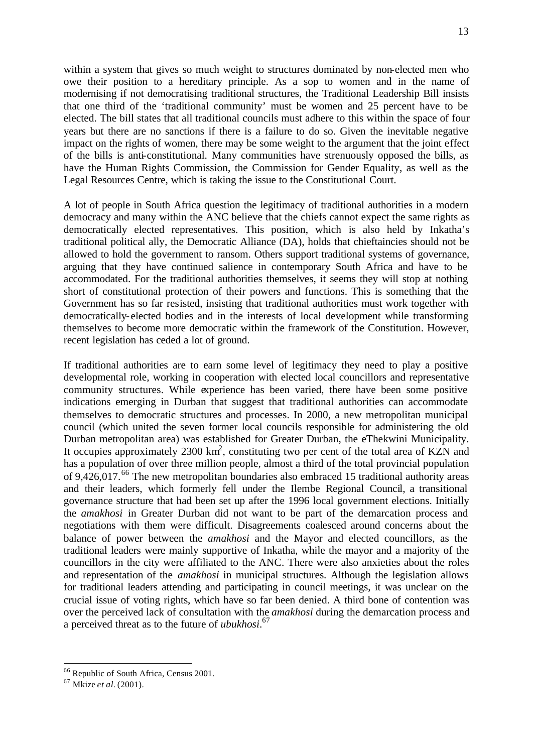within a system that gives so much weight to structures dominated by non-elected men who owe their position to a hereditary principle. As a sop to women and in the name of modernising if not democratising traditional structures, the Traditional Leadership Bill insists that one third of the 'traditional community' must be women and 25 percent have to be elected. The bill states that all traditional councils must adhere to this within the space of four years but there are no sanctions if there is a failure to do so. Given the inevitable negative impact on the rights of women, there may be some weight to the argument that the joint effect of the bills is anti-constitutional. Many communities have strenuously opposed the bills, as have the Human Rights Commission, the Commission for Gender Equality, as well as the Legal Resources Centre, which is taking the issue to the Constitutional Court.

A lot of people in South Africa question the legitimacy of traditional authorities in a modern democracy and many within the ANC believe that the chiefs cannot expect the same rights as democratically elected representatives. This position, which is also held by Inkatha's traditional political ally, the Democratic Alliance (DA), holds that chieftaincies should not be allowed to hold the government to ransom. Others support traditional systems of governance, arguing that they have continued salience in contemporary South Africa and have to be accommodated. For the traditional authorities themselves, it seems they will stop at nothing short of constitutional protection of their powers and functions. This is something that the Government has so far resisted, insisting that traditional authorities must work together with democratically-elected bodies and in the interests of local development while transforming themselves to become more democratic within the framework of the Constitution. However, recent legislation has ceded a lot of ground.

If traditional authorities are to earn some level of legitimacy they need to play a positive developmental role, working in cooperation with elected local councillors and representative community structures. While experience has been varied, there have been some positive indications emerging in Durban that suggest that traditional authorities can accommodate themselves to democratic structures and processes. In 2000, a new metropolitan municipal council (which united the seven former local councils responsible for administering the old Durban metropolitan area) was established for Greater Durban, the eThekwini Municipality. It occupies approximately 2300  $\text{km}^2$ , constituting two per cent of the total area of KZN and has a population of over three million people, almost a third of the total provincial population of 9,426,017.<sup>66</sup> The new metropolitan boundaries also embraced 15 traditional authority areas and their leaders, which formerly fell under the Ilembe Regional Council, a transitional governance structure that had been set up after the 1996 local government elections. Initially the *amakhosi* in Greater Durban did not want to be part of the demarcation process and negotiations with them were difficult. Disagreements coalesced around concerns about the balance of power between the *amakhosi* and the Mayor and elected councillors, as the traditional leaders were mainly supportive of Inkatha, while the mayor and a majority of the councillors in the city were affiliated to the ANC. There were also anxieties about the roles and representation of the *amakhosi* in municipal structures. Although the legislation allows for traditional leaders attending and participating in council meetings, it was unclear on the crucial issue of voting rights, which have so far been denied. A third bone of contention was over the perceived lack of consultation with the *amakhosi* during the demarcation process and a perceived threat as to the future of *ubukhosi*. 67

<sup>&</sup>lt;sup>66</sup> Republic of South Africa, Census 2001.

<sup>67</sup> Mkize *et al.* (2001).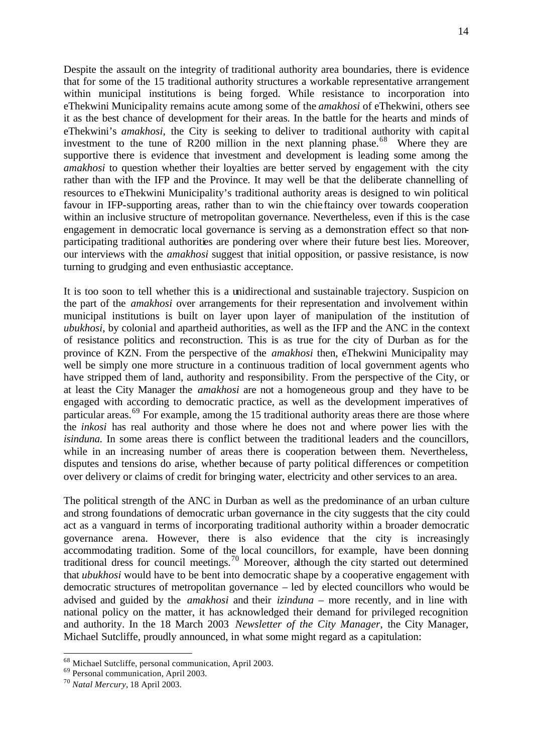Despite the assault on the integrity of traditional authority area boundaries, there is evidence that for some of the 15 traditional authority structures a workable representative arrangement within municipal institutions is being forged. While resistance to incorporation into eThekwini Municipality remains acute among some of the *amakhosi* of eThekwini*,* others see it as the best chance of development for their areas. In the battle for the hearts and minds of eThekwini's *amakhosi,* the City is seeking to deliver to traditional authority with capit al investment to the tune of R200 million in the next planning phase.<sup>68</sup> Where they are supportive there is evidence that investment and development is leading some among the *amakhosi* to question whether their loyalties are better served by engagement with the city rather than with the IFP and the Province. It may well be that the deliberate channelling of resources to eThekwini Municipality's traditional authority areas is designed to win political favour in IFP-supporting areas, rather than to win the chie ftaincy over towards cooperation within an inclusive structure of metropolitan governance. Nevertheless, even if this is the case engagement in democratic local governance is serving as a demonstration effect so that nonparticipating traditional authorities are pondering over where their future best lies. Moreover, our interviews with the *amakhosi* suggest that initial opposition, or passive resistance, is now turning to grudging and even enthusiastic acceptance.

It is too soon to tell whether this is a unidirectional and sustainable trajectory. Suspicion on the part of the *amakhosi* over arrangements for their representation and involvement within municipal institutions is built on layer upon layer of manipulation of the institution of *ubukhosi*, by colonial and apartheid authorities, as well as the IFP and the ANC in the context of resistance politics and reconstruction. This is as true for the city of Durban as for the province of KZN. From the perspective of the *amakhosi* then, eThekwini Municipality may well be simply one more structure in a continuous tradition of local government agents who have stripped them of land, authority and responsibility. From the perspective of the City, or at least the City Manager the *amakhosi* are not a homogeneous group and they have to be engaged with according to democratic practice, as well as the development imperatives of particular areas.<sup>69</sup> For example, among the 15 traditional authority areas there are those where the *inkosi* has real authority and those where he does not and where power lies with the *isinduna.* In some areas there is conflict between the traditional leaders and the councillors, while in an increasing number of areas there is cooperation between them. Nevertheless, disputes and tensions do arise, whether because of party political differences or competition over delivery or claims of credit for bringing water, electricity and other services to an area.

The political strength of the ANC in Durban as well as the predominance of an urban culture and strong foundations of democratic urban governance in the city suggests that the city could act as a vanguard in terms of incorporating traditional authority within a broader democratic governance arena. However, there is also evidence that the city is increasingly accommodating tradition. Some of the local councillors, for example, have been donning traditional dress for council meetings.<sup>70</sup> Moreover, although the city started out determined that *ubukhosi* would have to be bent into democratic shape by a cooperative engagement with democratic structures of metropolitan governance – led by elected councillors who would be advised and guided by the *amakhosi* and their *izinduna* – more recently, and in line with national policy on the matter, it has acknowledged their demand for privileged recognition and authority. In the 18 March 2003 *Newsletter of the City Manager*, the City Manager, Michael Sutcliffe, proudly announced, in what some might regard as a capitulation:

<sup>&</sup>lt;sup>68</sup> Michael Sutcliffe, personal communication, April 2003.

<sup>69</sup> Personal communication, April 2003.

<sup>70</sup> *Natal Mercury*, 18 April 2003.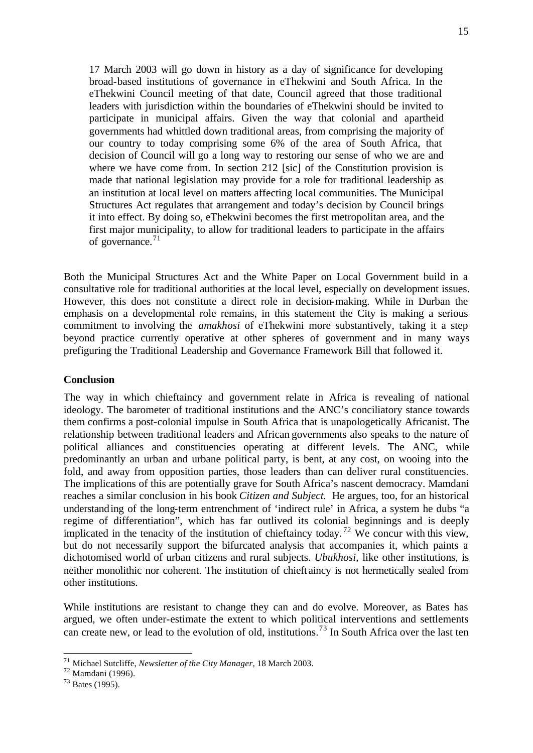17 March 2003 will go down in history as a day of significance for developing broad-based institutions of governance in eThekwini and South Africa. In the eThekwini Council meeting of that date, Council agreed that those traditional leaders with jurisdiction within the boundaries of eThekwini should be invited to participate in municipal affairs. Given the way that colonial and apartheid governments had whittled down traditional areas, from comprising the majority of our country to today comprising some 6% of the area of South Africa, that decision of Council will go a long way to restoring our sense of who we are and where we have come from. In section 212 [sic] of the Constitution provision is made that national legislation may provide for a role for traditional leadership as an institution at local level on matters affecting local communities. The Municipal Structures Act regulates that arrangement and today's decision by Council brings it into effect. By doing so, eThekwini becomes the first metropolitan area, and the first major municipality, to allow for traditional leaders to participate in the affairs of governance. $71$ 

Both the Municipal Structures Act and the White Paper on Local Government build in a consultative role for traditional authorities at the local level, especially on development issues. However, this does not constitute a direct role in decision-making. While in Durban the emphasis on a developmental role remains, in this statement the City is making a serious commitment to involving the *amakhosi* of eThekwini more substantively, taking it a step beyond practice currently operative at other spheres of government and in many ways prefiguring the Traditional Leadership and Governance Framework Bill that followed it.

#### **Conclusion**

The way in which chieftaincy and government relate in Africa is revealing of national ideology. The barometer of traditional institutions and the ANC's conciliatory stance towards them confirms a post-colonial impulse in South Africa that is unapologetically Africanist. The relationship between traditional leaders and African governments also speaks to the nature of political alliances and constituencies operating at different levels. The ANC, while predominantly an urban and urbane political party, is bent, at any cost, on wooing into the fold, and away from opposition parties, those leaders than can deliver rural constituencies. The implications of this are potentially grave for South Africa's nascent democracy. Mamdani reaches a similar conclusion in his book *Citizen and Subject.* He argues, too, for an historical understanding of the long-term entrenchment of 'indirect rule' in Africa, a system he dubs "a regime of differentiation", which has far outlived its colonial beginnings and is deeply implicated in the tenacity of the institution of chieftaincy today.<sup>72</sup> We concur with this view, but do not necessarily support the bifurcated analysis that accompanies it, which paints a dichotomised world of urban citizens and rural subjects. *Ubukhosi*, like other institutions, is neither monolithic nor coherent. The institution of chieft aincy is not hermetically sealed from other institutions.

While institutions are resistant to change they can and do evolve. Moreover, as Bates has argued, we often under-estimate the extent to which political interventions and settlements can create new, or lead to the evolution of old, institutions.<sup>73</sup> In South Africa over the last ten

<sup>71</sup> Michael Sutcliffe, *Newsletter of the City Manager*, 18 March 2003.

 $72$  Mamdani (1996).

<sup>73</sup> Bates (1995).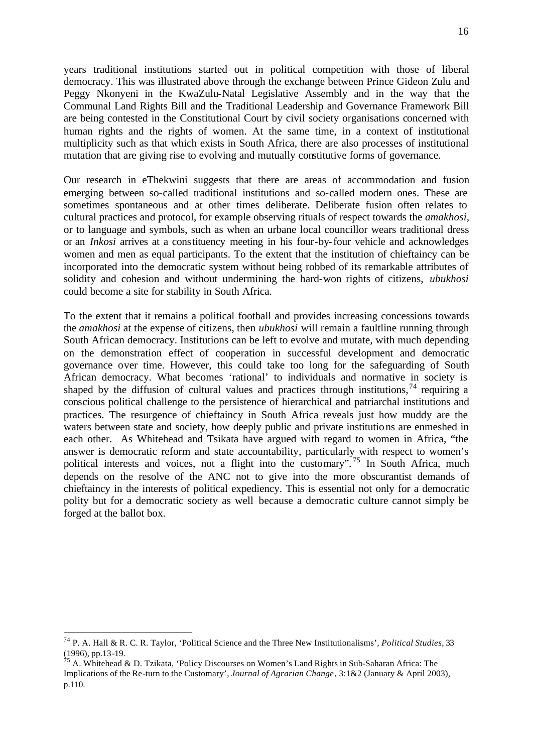years traditional institutions started out in political competition with those of liberal democracy. This was illustrated above through the exchange between Prince Gideon Zulu and Peggy Nkonyeni in the KwaZulu-Natal Legislative Assembly and in the way that the Communal Land Rights Bill and the Traditional Leadership and Governance Framework Bill are being contested in the Constitutional Court by civil society organisations concerned with human rights and the rights of women. At the same time, in a context of institutional multiplicity such as that which exists in South Africa, there are also processes of institutional mutation that are giving rise to evolving and mutually constitutive forms of governance.

Our research in eThekwini suggests that there are areas of accommodation and fusion emerging between so-called traditional institutions and so-called modern ones. These are sometimes spontaneous and at other times deliberate. Deliberate fusion often relates to cultural practices and protocol, for example observing rituals of respect towards the *amakhosi,*  or to language and symbols, such as when an urbane local councillor wears traditional dress or an *Inkosi* arrives at a constituency meeting in his four-by-four vehicle and acknowledges women and men as equal participants. To the extent that the institution of chieftaincy can be incorporated into the democratic system without being robbed of its remarkable attributes of solidity and cohesion and without undermining the hard-won rights of citizens, *ubukhosi* could become a site for stability in South Africa.

To the extent that it remains a political football and provides increasing concessions towards the *amakhosi* at the expense of citizens, then *ubukhosi* will remain a faultline running through South African democracy. Institutions can be left to evolve and mutate, with much depending on the demonstration effect of cooperation in successful development and democratic governance over time. However, this could take too long for the safeguarding of South African democracy. What becomes 'rational' to individuals and normative in society is shaped by the diffusion of cultural values and practices through institutions,  $^{74}$  requiring a conscious political challenge to the persistence of hierarchical and patriarchal institutions and practices. The resurgence of chieftaincy in South Africa reveals just how muddy are the waters between state and society, how deeply public and private institutions are enmeshed in each other. As Whitehead and Tsikata have argued with regard to women in Africa, "the answer is democratic reform and state accountability, particularly with respect to women's political interests and voices, not a flight into the customary".<sup>75</sup> In South Africa, much depends on the resolve of the ANC not to give into the more obscurantist demands of chieftaincy in the interests of political expediency. This is essential not only for a democratic polity but for a democratic society as well because a democratic culture cannot simply be forged at the ballot box.

<sup>74</sup> P. A. Hall & R. C. R. Taylor, 'Political Science and the Three New Institutionalisms', *Political Studies*, 33 (1996), pp.13-19.

<sup>&</sup>lt;sup>5</sup> A. Whitehead & D. Tzikata, 'Policy Discourses on Women's Land Rights in Sub-Saharan Africa: The Implications of the Re-turn to the Customary', *Journal of Agrarian Change*, 3:1&2 (January & April 2003), p.110.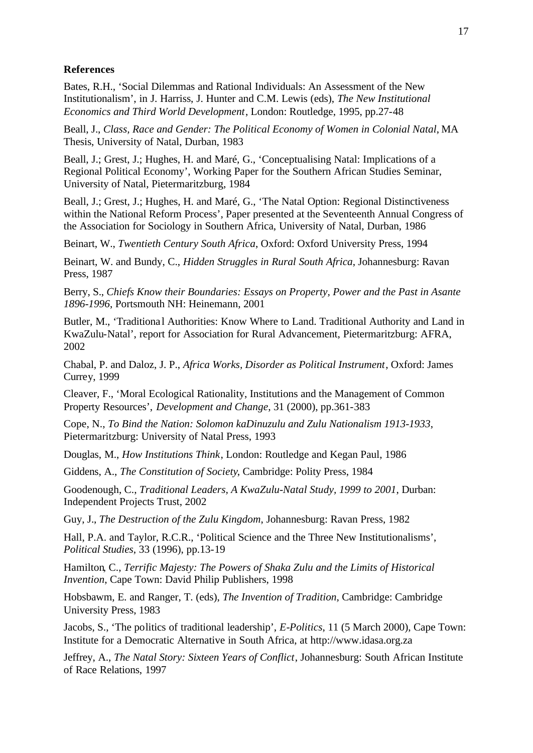#### **References**

Bates, R.H., 'Social Dilemmas and Rational Individuals: An Assessment of the New Institutionalism', in J. Harriss, J. Hunter and C.M. Lewis (eds), *The New Institutional Economics and Third World Development*, London: Routledge, 1995, pp.27-48

Beall, J., *Class, Race and Gender: The Political Economy of Women in Colonial Natal*, MA Thesis, University of Natal, Durban, 1983

Beall, J.; Grest, J.; Hughes, H. and Maré, G., 'Conceptualising Natal: Implications of a Regional Political Economy', Working Paper for the Southern African Studies Seminar, University of Natal, Pietermaritzburg, 1984

Beall, J.; Grest, J.; Hughes, H. and Maré, G., 'The Natal Option: Regional Distinctiveness within the National Reform Process', Paper presented at the Seventeenth Annual Congress of the Association for Sociology in Southern Africa, University of Natal, Durban, 1986

Beinart, W., *Twentieth Century South Africa*, Oxford: Oxford University Press, 1994

Beinart, W. and Bundy, C., *Hidden Struggles in Rural South Africa*, Johannesburg: Ravan Press, 1987

Berry, S., *Chiefs Know their Boundaries: Essays on Property, Power and the Past in Asante 1896-1996*, Portsmouth NH: Heinemann, 2001

Butler, M., 'Traditional Authorities: Know Where to Land. Traditional Authority and Land in KwaZulu-Natal', report for Association for Rural Advancement, Pietermaritzburg: AFRA, 2002

Chabal, P. and Daloz, J. P., *Africa Works, Disorder as Political Instrument*, Oxford: James Currey, 1999

Cleaver, F., 'Moral Ecological Rationality, Institutions and the Management of Common Property Resources', *Development and Change*, 31 (2000), pp.361-383

Cope, N., *To Bind the Nation: Solomon kaDinuzulu and Zulu Nationalism 1913-1933*, Pietermaritzburg: University of Natal Press, 1993

Douglas, M., *How Institutions Think*, London: Routledge and Kegan Paul, 1986

Giddens, A., *The Constitution of Society*, Cambridge: Polity Press, 1984

Goodenough, C., *Traditional Leaders, A KwaZulu-Natal Study, 1999 to 2001*, Durban: Independent Projects Trust, 2002

Guy, J., *The Destruction of the Zulu Kingdom*, Johannesburg: Ravan Press, 1982

Hall, P.A. and Taylor, R.C.R., 'Political Science and the Three New Institutionalisms', *Political Studies*, 33 (1996), pp.13-19

Hamilton, C., *Terrific Majesty: The Powers of Shaka Zulu and the Limits of Historical Invention*, Cape Town: David Philip Publishers, 1998

Hobsbawm, E. and Ranger, T. (eds), *The Invention of Tradition*, Cambridge: Cambridge University Press, 1983

Jacobs, S., 'The politics of traditional leadership', *E-Politics*, 11 (5 March 2000), Cape Town: Institute for a Democratic Alternative in South Africa, at http://www.idasa.org.za

Jeffrey, A., *The Natal Story: Sixteen Years of Conflict*, Johannesburg: South African Institute of Race Relations, 1997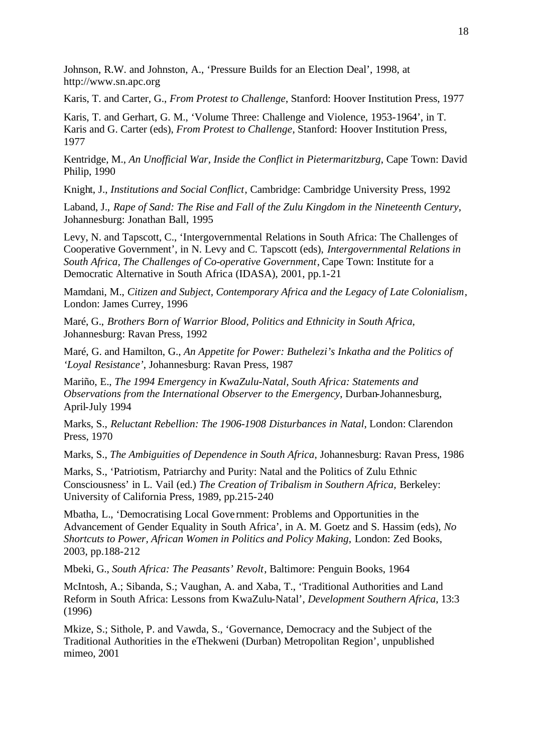Johnson, R.W. and Johnston, A., 'Pressure Builds for an Election Deal', 1998, at http://www.sn.apc.org

Karis, T. and Carter, G., *From Protest to Challenge*, Stanford: Hoover Institution Press, 1977

Karis, T. and Gerhart, G. M., 'Volume Three: Challenge and Violence, 1953-1964', in T. Karis and G. Carter (eds), *From Protest to Challenge*, Stanford: Hoover Institution Press, 1977

Kentridge, M., *An Unofficial War, Inside the Conflict in Pietermaritzburg*, Cape Town: David Philip, 1990

Knight, J., *Institutions and Social Conflict*, Cambridge: Cambridge University Press, 1992

Laband, J., *Rape of Sand: The Rise and Fall of the Zulu Kingdom in the Nineteenth Century*, Johannesburg: Jonathan Ball, 1995

Levy, N. and Tapscott, C., 'Intergovernmental Relations in South Africa: The Challenges of Cooperative Government', in N. Levy and C. Tapscott (eds), *Intergovernmental Relations in South Africa, The Challenges of Co-operative Government*, Cape Town: Institute for a Democratic Alternative in South Africa (IDASA), 2001, pp.1-21

Mamdani, M., *Citizen and Subject, Contemporary Africa and the Legacy of Late Colonialism*, London: James Currey, 1996

Maré, G., *Brothers Born of Warrior Blood, Politics and Ethnicity in South Africa*, Johannesburg: Ravan Press, 1992

Maré, G. and Hamilton, G., *An Appetite for Power: Buthelezi's Inkatha and the Politics of 'Loyal Resistance'*, Johannesburg: Ravan Press, 1987

Mariño, E., *The 1994 Emergency in KwaZulu-Natal, South Africa: Statements and Observations from the International Observer to the Emergency*, Durban-Johannesburg, April-July 1994

Marks, S., *Reluctant Rebellion: The 1906-1908 Disturbances in Natal*, London: Clarendon Press, 1970

Marks, S., *The Ambiguities of Dependence in South Africa*, Johannesburg: Ravan Press, 1986

Marks, S., 'Patriotism, Patriarchy and Purity: Natal and the Politics of Zulu Ethnic Consciousness' in L. Vail (ed.) *The Creation of Tribalism in Southern Africa,* Berkeley: University of California Press, 1989, pp.215-240

Mbatha, L., 'Democratising Local Gove rnment: Problems and Opportunities in the Advancement of Gender Equality in South Africa', in A. M. Goetz and S. Hassim (eds), *No Shortcuts to Power, African Women in Politics and Policy Making*, London: Zed Books, 2003, pp.188-212

Mbeki, G., *South Africa: The Peasants' Revolt*, Baltimore: Penguin Books, 1964

McIntosh, A.; Sibanda, S.; Vaughan, A. and Xaba, T., 'Traditional Authorities and Land Reform in South Africa: Lessons from KwaZulu-Natal', *Development Southern Africa*, 13:3 (1996)

Mkize, S.; Sithole, P. and Vawda, S., 'Governance, Democracy and the Subject of the Traditional Authorities in the eThekweni (Durban) Metropolitan Region', unpublished mimeo, 2001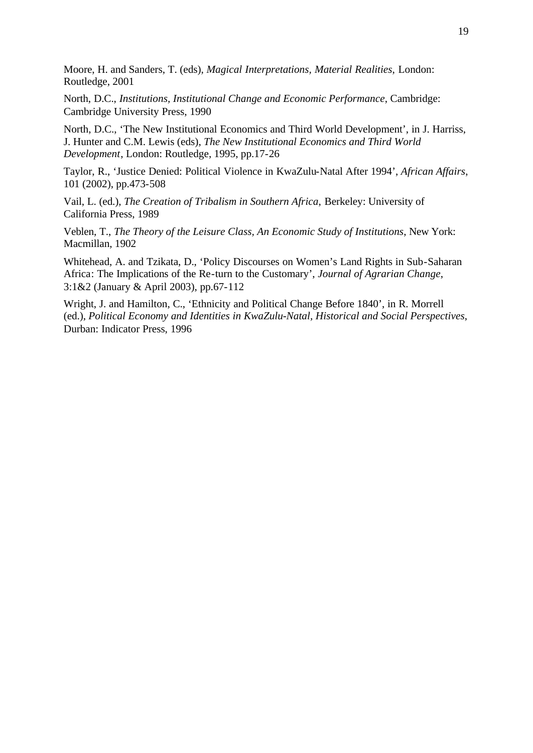Moore, H. and Sanders, T. (eds), *Magical Interpretations, Material Realities*, London: Routledge, 2001

North, D.C., *Institutions, Institutional Change and Economic Performance*, Cambridge: Cambridge University Press, 1990

North, D.C., 'The New Institutional Economics and Third World Development', in J. Harriss, J. Hunter and C.M. Lewis (eds), *The New Institutional Economics and Third World Development*, London: Routledge, 1995, pp.17-26

Taylor, R., 'Justice Denied: Political Violence in KwaZulu-Natal After 1994', *African Affairs*, 101 (2002), pp.473-508

Vail, L. (ed.), *The Creation of Tribalism in Southern Africa*, Berkeley: University of California Press, 1989

Veblen, T., *The Theory of the Leisure Class, An Economic Study of Institutions*, New York: Macmillan, 1902

Whitehead, A. and Tzikata, D., 'Policy Discourses on Women's Land Rights in Sub-Saharan Africa: The Implications of the Re-turn to the Customary', *Journal of Agrarian Change*, 3:1&2 (January & April 2003), pp.67-112

Wright, J. and Hamilton, C., 'Ethnicity and Political Change Before 1840', in R. Morrell (ed.), *Political Economy and Identities in KwaZulu-Natal, Historical and Social Perspectives*, Durban: Indicator Press, 1996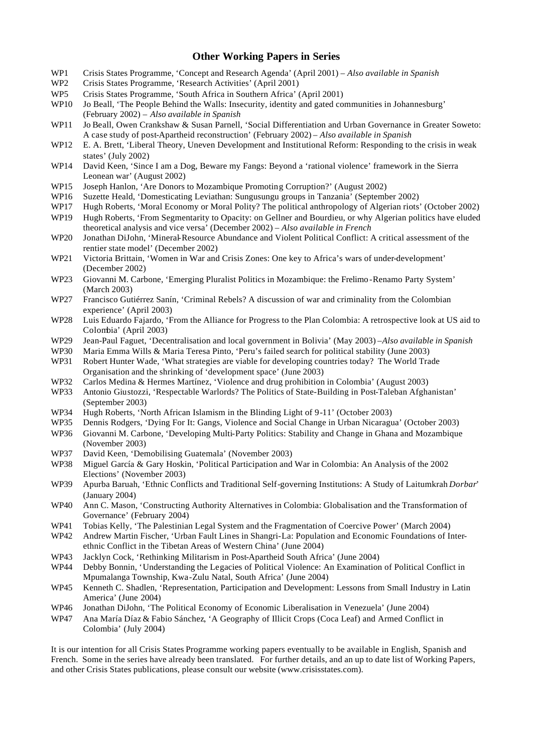#### **Other Working Papers in Series**

- WP1 Crisis States Programme, 'Concept and Research Agenda' (April 2001) *Also available in Spanish*<br>WP2 Crisis States Programme. 'Research Activities' (April 2001)
- Crisis States Programme, 'Research Activities' (April 2001)
- WP5 Crisis States Programme, 'South Africa in Southern Africa' (April 2001)
- WP10 Jo Beall, 'The People Behind the Walls: Insecurity, identity and gated communities in Johannesburg' (February 2002) – *Also available in Spanish*
- WP11 Jo Beall, Owen Crankshaw & Susan Parnell, 'Social Differentiation and Urban Governance in Greater Soweto: A case study of post-Apartheid reconstruction' (February 2002) – *Also available in Spanish*
- WP12 E. A. Brett, 'Liberal Theory, Uneven Development and Institutional Reform: Responding to the crisis in weak states' (July 2002)
- WP14 David Keen, 'Since I am a Dog, Beware my Fangs: Beyond a 'rational violence' framework in the Sierra Leonean war' (August 2002)
- WP15 Joseph Hanlon, 'Are Donors to Mozambique Promoting Corruption?' (August 2002)
- WP16 Suzette Heald, 'Domesticating Leviathan: Sungusungu groups in Tanzania' (September 2002)
- WP17 Hugh Roberts, 'Moral Economy or Moral Polity? The political anthropology of Algerian riots' (October 2002)
- WP19 Hugh Roberts, 'From Segmentarity to Opacity: on Gellner and Bourdieu, or why Algerian politics have eluded theoretical analysis and vice versa' (December 2002) – *Also available in French*
- WP20 Jonathan DiJohn, 'Mineral-Resource Abundance and Violent Political Conflict: A critical assessment of the rentier state model' (December 2002)
- WP21 Victoria Brittain, 'Women in War and Crisis Zones: One key to Africa's wars of under-development' (December 2002)
- WP23 Giovanni M. Carbone, 'Emerging Pluralist Politics in Mozambique: the Frelimo -Renamo Party System' (March 2003)
- WP27 Francisco Gutiérrez Sanín, 'Criminal Rebels? A discussion of war and criminality from the Colombian experience' (April 2003)
- WP28 Luis Eduardo Fajardo, 'From the Alliance for Progress to the Plan Colombia: A retrospective look at US aid to Colombia' (April 2003)
- WP29 Jean-Paul Faguet, 'Decentralisation and local government in Bolivia' (May 2003) –*Also available in Spanish*
- WP30 Maria Emma Wills & Maria Teresa Pinto, 'Peru's failed search for political stability (June 2003)
- WP31 Robert Hunter Wade, 'What strategies are viable for developing countries today? The World Trade Organisation and the shrinking of 'development space' (June 2003)
- WP32 Carlos Medina & Hermes Martínez, 'Violence and drug prohibition in Colombia' (August 2003)
- WP33 Antonio Giustozzi, 'Respectable Warlords? The Politics of State-Building in Post-Taleban Afghanistan' (September 2003)
- WP34 Hugh Roberts, 'North African Islamism in the Blinding Light of 9-11' (October 2003)
- WP35 Dennis Rodgers, 'Dying For It: Gangs, Violence and Social Change in Urban Nicaragua' (October 2003)
- WP36 Giovanni M. Carbone, 'Developing Multi-Party Politics: Stability and Change in Ghana and Mozambique (November 2003)
- WP37 David Keen, 'Demobilising Guatemala' (November 2003)
- WP38 Miguel García & Gary Hoskin, 'Political Participation and War in Colombia: An Analysis of the 2002 Elections' (November 2003)
- WP39 Apurba Baruah, 'Ethnic Conflicts and Traditional Self-governing Institutions: A Study of Laitumkrah *Dorbar*' (January 2004)
- WP40 Ann C. Mason, 'Constructing Authority Alternatives in Colombia: Globalisation and the Transformation of Governance' (February 2004)
- WP41 Tobias Kelly, 'The Palestinian Legal System and the Fragmentation of Coercive Power' (March 2004)
- WP42 Andrew Martin Fischer, 'Urban Fault Lines in Shangri-La: Population and Economic Foundations of Interethnic Conflict in the Tibetan Areas of Western China' (June 2004)
- WP43 Jacklyn Cock, 'Rethinking Militarism in Post-Apartheid South Africa' (June 2004)
- WP44 Debby Bonnin, 'Understanding the Legacies of Political Violence: An Examination of Political Conflict in Mpumalanga Township, Kwa-Zulu Natal, South Africa' (June 2004)
- WP45 Kenneth C. Shadlen, 'Representation, Participation and Development: Lessons from Small Industry in Latin America' (June 2004)
- WP46 Jonathan DiJohn, 'The Political Economy of Economic Liberalisation in Venezuela' (June 2004)
- WP47 Ana María Díaz & Fabio Sánchez, 'A Geography of Illicit Crops (Coca Leaf) and Armed Conflict in Colombia' (July 2004)

It is our intention for all Crisis States Programme working papers eventually to be available in English, Spanish and French. Some in the series have already been translated. For further details, and an up to date list of Working Papers, and other Crisis States publications, please consult our website (www.crisisstates.com).